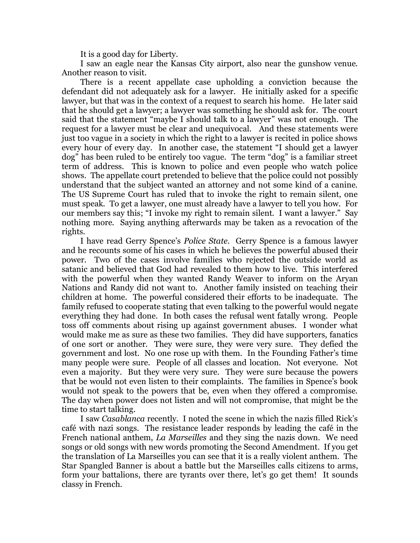It is a good day for Liberty.

I saw an eagle near the Kansas City airport, also near the gunshow venue. Another reason to visit.

There is a recent appellate case upholding a conviction because the defendant did not adequately ask for a lawyer. He initially asked for a specific lawyer, but that was in the context of a request to search his home. He later said that he should get a lawyer; a lawyer was something he should ask for. The court said that the statement "maybe I should talk to a lawyer" was not enough. The request for a lawyer must be clear and unequivocal. And these statements were just too vague in a society in which the right to a lawyer is recited in police shows every hour of every day. In another case, the statement "I should get a lawyer dog" has been ruled to be entirely too vague. The term "dog" is a familiar street term of address. This is known to police and even people who watch police shows. The appellate court pretended to believe that the police could not possibly understand that the subject wanted an attorney and not some kind of a canine. The US Supreme Court has ruled that to invoke the right to remain silent, one must speak. To get a lawyer, one must already have a lawyer to tell you how. For our members say this; "I invoke my right to remain silent. I want a lawyer." Say nothing more. Saying anything afterwards may be taken as a revocation of the rights.

I have read Gerry Spence's *Police State*. Gerry Spence is a famous lawyer and he recounts some of his cases in which he believes the powerful abused their power. Two of the cases involve families who rejected the outside world as satanic and believed that God had revealed to them how to live. This interfered with the powerful when they wanted Randy Weaver to inform on the Aryan Nations and Randy did not want to. Another family insisted on teaching their children at home. The powerful considered their efforts to be inadequate. The family refused to cooperate stating that even talking to the powerful would negate everything they had done. In both cases the refusal went fatally wrong. People toss off comments about rising up against government abuses. I wonder what would make me as sure as these two families. They did have supporters, fanatics of one sort or another. They were sure, they were very sure. They defied the government and lost. No one rose up with them. In the Founding Father's time many people were sure. People of all classes and location. Not everyone. Not even a majority. But they were very sure. They were sure because the powers that be would not even listen to their complaints. The families in Spence's book would not speak to the powers that be, even when they offered a compromise. The day when power does not listen and will not compromise, that might be the time to start talking.

I saw *Casablanca* recently. I noted the scene in which the nazis filled Rick's café with nazi songs. The resistance leader responds by leading the café in the French national anthem, *La Marseilles* and they sing the nazis down. We need songs or old songs with new words promoting the Second Amendment. If you get the translation of La Marseilles you can see that it is a really violent anthem. The Star Spangled Banner is about a battle but the Marseilles calls citizens to arms, form your battalions, there are tyrants over there, let's go get them! It sounds classy in French.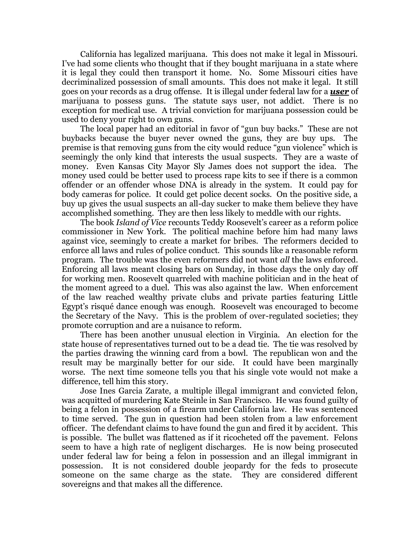California has legalized marijuana. This does not make it legal in Missouri. I've had some clients who thought that if they bought marijuana in a state where it is legal they could then transport it home. No. Some Missouri cities have decriminalized possession of small amounts. This does not make it legal. It still goes on your records as a drug offense. It is illegal under federal law for a *user* of marijuana to possess guns. The statute says user, not addict. There is no exception for medical use. A trivial conviction for marijuana possession could be used to deny your right to own guns.

The local paper had an editorial in favor of "gun buy backs." These are not buybacks because the buyer never owned the guns, they are buy ups. The premise is that removing guns from the city would reduce "gun violence" which is seemingly the only kind that interests the usual suspects. They are a waste of money. Even Kansas City Mayor Sly James does not support the idea. The money used could be better used to process rape kits to see if there is a common offender or an offender whose DNA is already in the system. It could pay for body cameras for police. It could get police decent socks. On the positive side, a buy up gives the usual suspects an all-day sucker to make them believe they have accomplished something. They are then less likely to meddle with our rights.

The book *Island of Vice* recounts Teddy Roosevelt's career as a reform police commissioner in New York. The political machine before him had many laws against vice, seemingly to create a market for bribes. The reformers decided to enforce all laws and rules of police conduct. This sounds like a reasonable reform program. The trouble was the even reformers did not want *all* the laws enforced. Enforcing all laws meant closing bars on Sunday, in those days the only day off for working men. Roosevelt quarreled with machine politician and in the heat of the moment agreed to a duel. This was also against the law. When enforcement of the law reached wealthy private clubs and private parties featuring Little Egypt's risqué dance enough was enough. Roosevelt was encouraged to become the Secretary of the Navy. This is the problem of over-regulated societies; they promote corruption and are a nuisance to reform.

There has been another unusual election in Virginia. An election for the state house of representatives turned out to be a dead tie. The tie was resolved by the parties drawing the winning card from a bowl. The republican won and the result may be marginally better for our side. It could have been marginally worse. The next time someone tells you that his single vote would not make a difference, tell him this story.

Jose Ines Garcia Zarate, a multiple illegal immigrant and convicted felon, was acquitted of murdering Kate Steinle in San Francisco. He was found guilty of being a felon in possession of a firearm under California law. He was sentenced to time served. The gun in question had been stolen from a law enforcement officer. The defendant claims to have found the gun and fired it by accident. This is possible. The bullet was flattened as if it ricocheted off the pavement. Felons seem to have a high rate of negligent discharges. He is now being prosecuted under federal law for being a felon in possession and an illegal immigrant in possession. It is not considered double jeopardy for the feds to prosecute someone on the same charge as the state. They are considered different sovereigns and that makes all the difference.